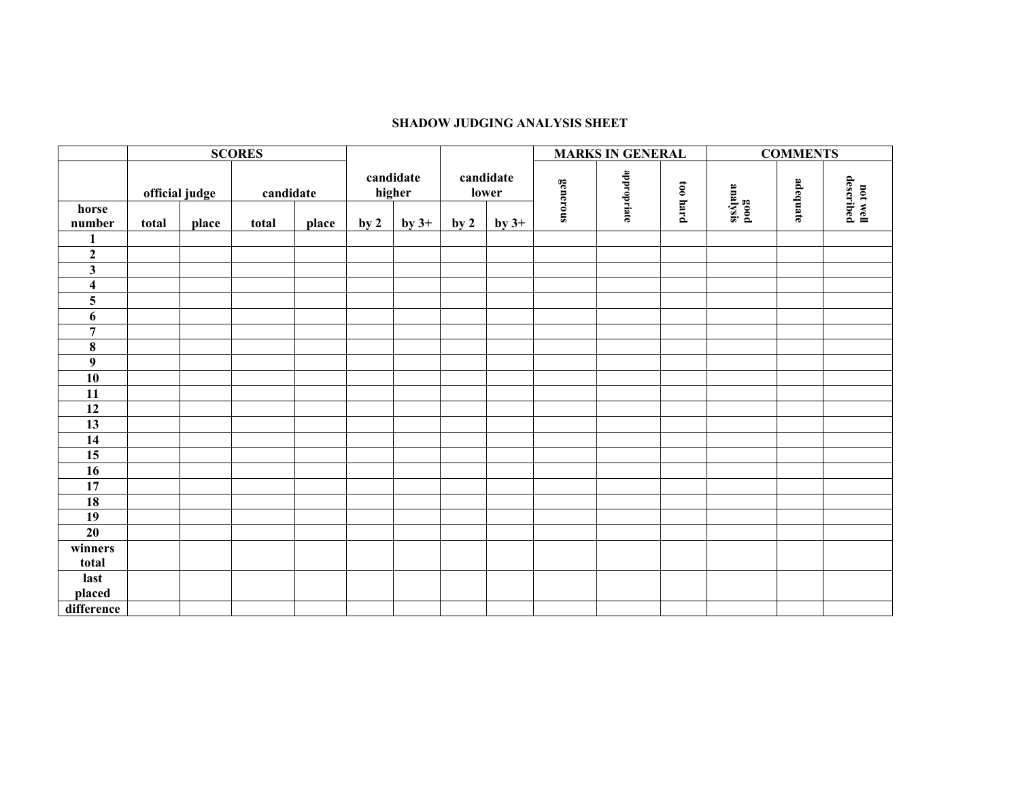## **SHADOW JUDGING ANALYSIS SHEET**

|                         | <b>SCORES</b> |                             |       |                     |                 |                    |                 |          | <b>MARKS IN GENERAL</b> |          | <b>COMMENTS</b>  |          |                       |  |
|-------------------------|---------------|-----------------------------|-------|---------------------|-----------------|--------------------|-----------------|----------|-------------------------|----------|------------------|----------|-----------------------|--|
|                         |               | official judge<br>candidate |       | candidate<br>higher |                 | candidate<br>lower |                 | generous | appropriate             | too hard | good<br>analysis | adequate | not well<br>described |  |
| horse                   |               |                             |       |                     |                 |                    |                 |          |                         |          |                  |          |                       |  |
| number                  | total         | place                       | total | place               | by <sub>2</sub> | by $3+$            | by <sub>2</sub> | by $3+$  |                         |          |                  |          |                       |  |
| $\mathbf{1}$            |               |                             |       |                     |                 |                    |                 |          |                         |          |                  |          |                       |  |
| $\mathbf 2$             |               |                             |       |                     |                 |                    |                 |          |                         |          |                  |          |                       |  |
| $\overline{\mathbf{3}}$ |               |                             |       |                     |                 |                    |                 |          |                         |          |                  |          |                       |  |
| $\overline{\mathbf{4}}$ |               |                             |       |                     |                 |                    |                 |          |                         |          |                  |          |                       |  |
| 5                       |               |                             |       |                     |                 |                    |                 |          |                         |          |                  |          |                       |  |
| $\boldsymbol{6}$        |               |                             |       |                     |                 |                    |                 |          |                         |          |                  |          |                       |  |
| $\overline{7}$          |               |                             |       |                     |                 |                    |                 |          |                         |          |                  |          |                       |  |
| $\bf 8$                 |               |                             |       |                     |                 |                    |                 |          |                         |          |                  |          |                       |  |
| $\overline{9}$          |               |                             |       |                     |                 |                    |                 |          |                         |          |                  |          |                       |  |
| 10                      |               |                             |       |                     |                 |                    |                 |          |                         |          |                  |          |                       |  |
| 11                      |               |                             |       |                     |                 |                    |                 |          |                         |          |                  |          |                       |  |
| 12                      |               |                             |       |                     |                 |                    |                 |          |                         |          |                  |          |                       |  |
| 13                      |               |                             |       |                     |                 |                    |                 |          |                         |          |                  |          |                       |  |
| $\overline{14}$         |               |                             |       |                     |                 |                    |                 |          |                         |          |                  |          |                       |  |
| $\overline{15}$         |               |                             |       |                     |                 |                    |                 |          |                         |          |                  |          |                       |  |
| 16                      |               |                             |       |                     |                 |                    |                 |          |                         |          |                  |          |                       |  |
| $\overline{17}$         |               |                             |       |                     |                 |                    |                 |          |                         |          |                  |          |                       |  |
| 18                      |               |                             |       |                     |                 |                    |                 |          |                         |          |                  |          |                       |  |
| 19                      |               |                             |       |                     |                 |                    |                 |          |                         |          |                  |          |                       |  |
| 20                      |               |                             |       |                     |                 |                    |                 |          |                         |          |                  |          |                       |  |
| winners                 |               |                             |       |                     |                 |                    |                 |          |                         |          |                  |          |                       |  |
| total                   |               |                             |       |                     |                 |                    |                 |          |                         |          |                  |          |                       |  |
| last                    |               |                             |       |                     |                 |                    |                 |          |                         |          |                  |          |                       |  |
| placed                  |               |                             |       |                     |                 |                    |                 |          |                         |          |                  |          |                       |  |
| difference              |               |                             |       |                     |                 |                    |                 |          |                         |          |                  |          |                       |  |